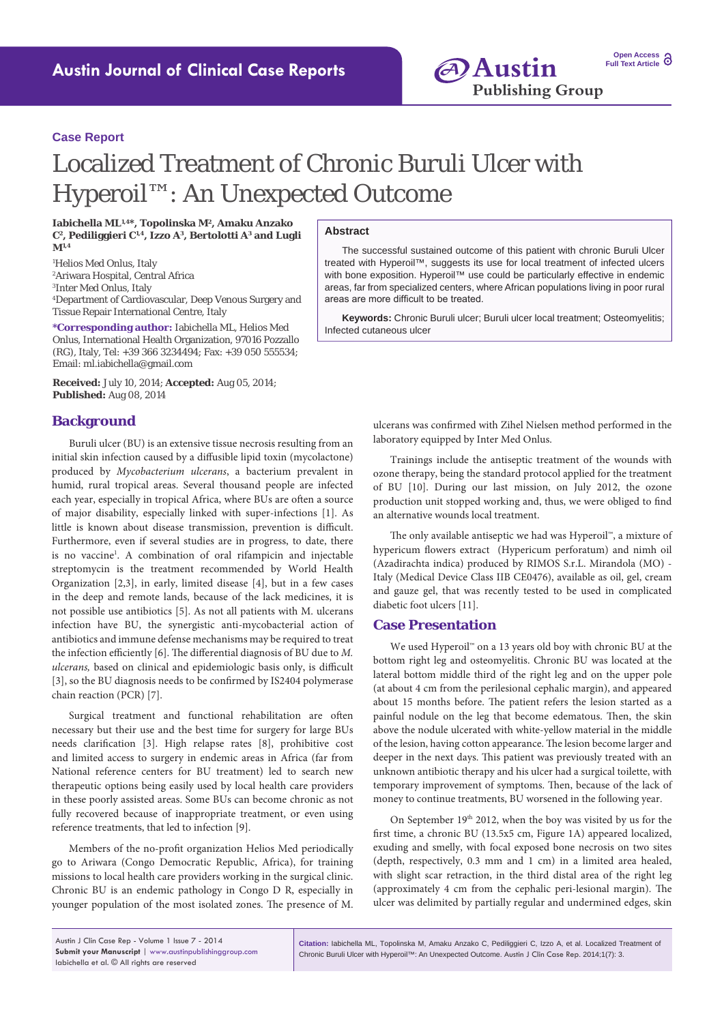**Open Access Full Text Article** 

# Localized Treatment of Chronic Buruli Ulcer with Hyperoil™: An Unexpected Outcome

**Iabichella ML1,4\*, Topolinska M2, Amaku Anzako C2, Pediliggieri C1,4, Izzo A3, Bertolotti A3 and Lugli M1,4**

 Helios Med Onlus, Italy Ariwara Hospital, Central Africa Inter Med Onlus, Italy Department of Cardiovascular, Deep Venous Surgery and Tissue Repair International Centre, Italy

**\*Corresponding author:** Iabichella ML, Helios Med Onlus, International Health Organization, 97016 Pozzallo (RG), Italy, Tel: +39 366 3234494; Fax: +39 050 555534; Email: ml.iabichella@gmail.com

**Received:** July 10, 2014; **Accepted:** Aug 05, 2014; **Published:** Aug 08, 2014

## **Background**

Buruli ulcer (BU) is an extensive tissue necrosis resulting from an initial skin infection caused by a diffusible lipid toxin (mycolactone) produced by *Mycobacterium ulcerans*, a bacterium prevalent in humid, rural tropical areas. Several thousand people are infected each year, especially in tropical Africa, where BUs are often a source of major disability, especially linked with super-infections [1]. As little is known about disease transmission, prevention is difficult. Furthermore, even if several studies are in progress, to date, there is no vaccine<sup>1</sup>. A combination of oral rifampicin and injectable streptomycin is the treatment recommended by World Health Organization [2,3], in early, limited disease [4], but in a few cases in the deep and remote lands, because of the lack medicines, it is not possible use antibiotics [5]. As not all patients with M. ulcerans infection have BU, the synergistic anti-mycobacterial action of antibiotics and immune defense mechanisms may be required to treat the infection efficiently [6]. The differential diagnosis of BU due to *M. ulcerans,* based on clinical and epidemiologic basis only, is difficult [3], so the BU diagnosis needs to be confirmed by IS2404 polymerase chain reaction (PCR) [7].

Surgical treatment and functional rehabilitation are often necessary but their use and the best time for surgery for large BUs needs clarification [3]. High relapse rates [8], prohibitive cost and limited access to surgery in endemic areas in Africa (far from National reference centers for BU treatment) led to search new therapeutic options being easily used by local health care providers in these poorly assisted areas. Some BUs can become chronic as not fully recovered because of inappropriate treatment, or even using reference treatments, that led to infection [9].

Members of the no-profit organization Helios Med periodically go to Ariwara (Congo Democratic Republic, Africa), for training missions to local health care providers working in the surgical clinic. Chronic BU is an endemic pathology in Congo D R, especially in younger population of the most isolated zones. The presence of M.

#### **Abstract**

The successful sustained outcome of this patient with chronic Buruli Ulcer treated with Hyperoil™, suggests its use for local treatment of infected ulcers with bone exposition. Hyperoil™ use could be particularly effective in endemic areas, far from specialized centers, where African populations living in poor rural areas are more difficult to be treated.

**Keywords:** Chronic Buruli ulcer; Buruli ulcer local treatment; Osteomyelitis; Infected cutaneous ulcer

> ulcerans was confirmed with Zihel Nielsen method performed in the laboratory equipped by Inter Med Onlus.

> Trainings include the antiseptic treatment of the wounds with ozone therapy, being the standard protocol applied for the treatment of BU [10]. During our last mission, on July 2012, the ozone production unit stopped working and, thus, we were obliged to find an alternative wounds local treatment.

> The only available antiseptic we had was Hyperoil™, a mixture of hypericum flowers extract (Hypericum perforatum) and nimh oil (Azadirachta indica) produced by RIMOS S.r.L. Mirandola (MO) - Italy (Medical Device Class IIB CE0476), available as oil, gel, cream and gauze gel, that was recently tested to be used in complicated diabetic foot ulcers [11].

## **Case Presentation**

We used Hyperoil™ on a 13 years old boy with chronic BU at the bottom right leg and osteomyelitis. Chronic BU was located at the lateral bottom middle third of the right leg and on the upper pole (at about 4 cm from the perilesional cephalic margin), and appeared about 15 months before. The patient refers the lesion started as a painful nodule on the leg that become edematous. Then, the skin above the nodule ulcerated with white-yellow material in the middle of the lesion, having cotton appearance. The lesion become larger and deeper in the next days. This patient was previously treated with an unknown antibiotic therapy and his ulcer had a surgical toilette, with temporary improvement of symptoms. Then, because of the lack of money to continue treatments, BU worsened in the following year.

On September 19<sup>th</sup> 2012, when the boy was visited by us for the first time, a chronic BU (13.5x5 cm, Figure 1A) appeared localized, exuding and smelly, with focal exposed bone necrosis on two sites (depth, respectively, 0.3 mm and 1 cm) in a limited area healed, with slight scar retraction, in the third distal area of the right leg (approximately 4 cm from the cephalic peri-lesional margin). The ulcer was delimited by partially regular and undermined edges, skin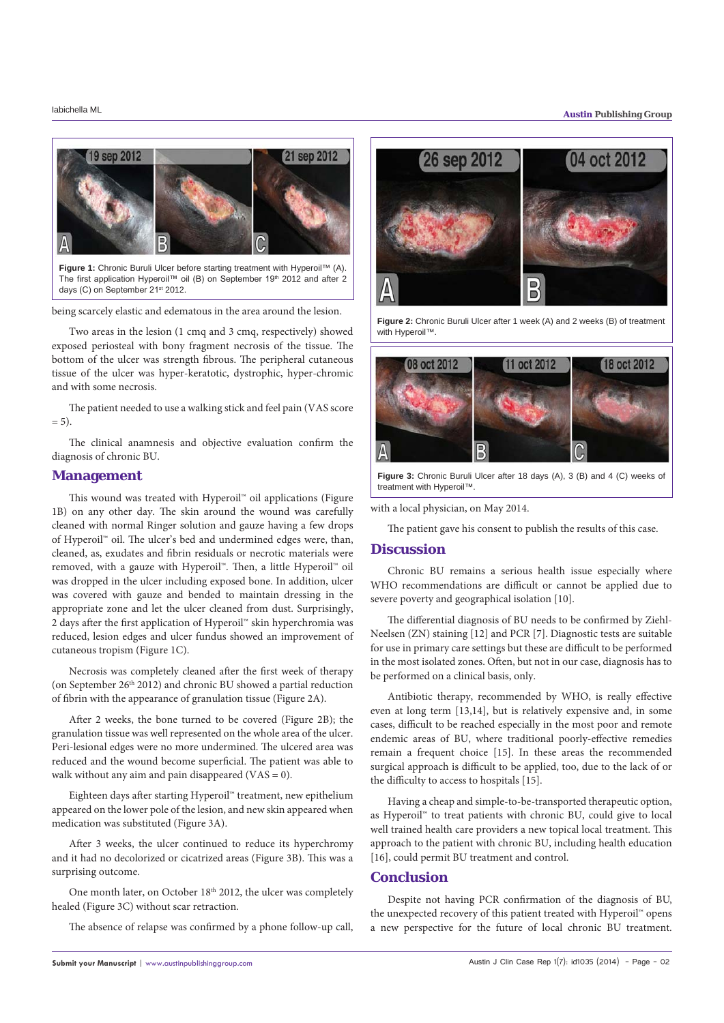

**Figure 1:** Chronic Buruli Ulcer before starting treatment with Hyperoil™ (A). The first application Hyperoil™ oil (B) on September 19<sup>th</sup> 2012 and after 2 days (C) on September 21<sup>st</sup> 2012.

being scarcely elastic and edematous in the area around the lesion.

Two areas in the lesion (1 cmq and 3 cmq, respectively) showed exposed periosteal with bony fragment necrosis of the tissue. The bottom of the ulcer was strength fibrous. The peripheral cutaneous tissue of the ulcer was hyper-keratotic, dystrophic, hyper-chromic and with some necrosis.

The patient needed to use a walking stick and feel pain (VAS score  $= 5$ ).

The clinical anamnesis and objective evaluation confirm the diagnosis of chronic BU.

#### **Management**

This wound was treated with Hyperoil™ oil applications (Figure 1B) on any other day. The skin around the wound was carefully cleaned with normal Ringer solution and gauze having a few drops of Hyperoil™ oil. The ulcer's bed and undermined edges were, than, cleaned, as, exudates and fibrin residuals or necrotic materials were removed, with a gauze with Hyperoil™. Then, a little Hyperoil™ oil was dropped in the ulcer including exposed bone. In addition, ulcer was covered with gauze and bended to maintain dressing in the appropriate zone and let the ulcer cleaned from dust. Surprisingly, 2 days after the first application of Hyperoil™ skin hyperchromia was reduced, lesion edges and ulcer fundus showed an improvement of cutaneous tropism (Figure 1C).

Necrosis was completely cleaned after the first week of therapy (on September 26<sup>th</sup> 2012) and chronic BU showed a partial reduction of fibrin with the appearance of granulation tissue (Figure 2A).

After 2 weeks, the bone turned to be covered (Figure 2B); the granulation tissue was well represented on the whole area of the ulcer. Peri-lesional edges were no more undermined. The ulcered area was reduced and the wound become superficial. The patient was able to walk without any aim and pain disappeared (VAS = 0).

Eighteen days after starting Hyperoil™ treatment, new epithelium appeared on the lower pole of the lesion, and new skin appeared when medication was substituted (Figure 3A).

After 3 weeks, the ulcer continued to reduce its hyperchromy and it had no decolorized or cicatrized areas (Figure 3B). This was a surprising outcome.

One month later, on October 18<sup>th</sup> 2012, the ulcer was completely healed (Figure 3C) without scar retraction.

The absence of relapse was confirmed by a phone follow-up call,



**Figure 2:** Chronic Buruli Ulcer after 1 week (A) and 2 weeks (B) of treatment with Hyperoil™



**Figure 3:** Chronic Buruli Ulcer after 18 days (A), 3 (B) and 4 (C) weeks of treatment with Hyperoil™.

with a local physician, on May 2014.

The patient gave his consent to publish the results of this case.

### **Discussion**

Chronic BU remains a serious health issue especially where WHO recommendations are difficult or cannot be applied due to severe poverty and geographical isolation [10].

The differential diagnosis of BU needs to be confirmed by Ziehl-Neelsen (ZN) staining [12] and PCR [7]. Diagnostic tests are suitable for use in primary care settings but these are difficult to be performed in the most isolated zones. Often, but not in our case, diagnosis has to be performed on a clinical basis, only.

Antibiotic therapy, recommended by WHO, is really effective even at long term [13,14], but is relatively expensive and, in some cases, difficult to be reached especially in the most poor and remote endemic areas of BU, where traditional poorly-effective remedies remain a frequent choice [15]. In these areas the recommended surgical approach is difficult to be applied, too, due to the lack of or the difficulty to access to hospitals [15].

Having a cheap and simple-to-be-transported therapeutic option, as Hyperoil™ to treat patients with chronic BU, could give to local well trained health care providers a new topical local treatment. This approach to the patient with chronic BU, including health education [16], could permit BU treatment and control.

## **Conclusion**

Despite not having PCR confirmation of the diagnosis of BU, the unexpected recovery of this patient treated with Hyperoil™ opens a new perspective for the future of local chronic BU treatment.